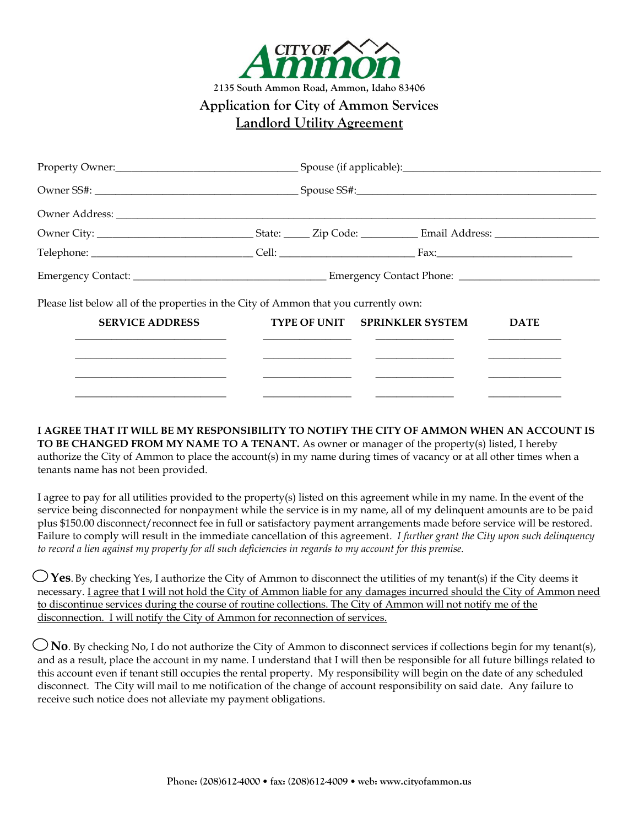

| Telephone: Cell: Cell: Cell: Cell: Cell: Cell: Cell: Cell: Cell: Cell: Cell: Cell: Cell: Cell: Cell: Cell: Cell: Cell: Cell: Cell: Cell: Cell: Cell: Cell: Cell: Cell: Cell: Cell: Cell: Cell: Cell: Cell: Cell: Cell: Cell: C |  |  |
|--------------------------------------------------------------------------------------------------------------------------------------------------------------------------------------------------------------------------------|--|--|
|                                                                                                                                                                                                                                |  |  |

Please list below all of the properties in the City of Ammon that you currently own:

| <b>SERVICE ADDRESS</b> | TYPE OF UNIT SPRINKLER SYSTEM | <b>DATE</b> |
|------------------------|-------------------------------|-------------|
|                        |                               |             |
|                        |                               |             |
|                        |                               |             |

**I AGREE THAT IT WILL BE MY RESPONSIBILITY TO NOTIFY THE CITY OF AMMON WHEN AN ACCOUNT IS TO BE CHANGED FROM MY NAME TO A TENANT.** As owner or manager of the property(s) listed, I hereby authorize the City of Ammon to place the account(s) in my name during times of vacancy or at all other times when a tenants name has not been provided.

I agree to pay for all utilities provided to the property(s) listed on this agreement while in my name. In the event of the service being disconnected for nonpayment while the service is in my name, all of my delinquent amounts are to be paid plus \$150.00 disconnect/reconnect fee in full or satisfactory payment arrangements made before service will be restored. Failure to comply will result in the immediate cancellation of this agreement. *I further grant the City upon such delinquency to record a lien against my property for all such deficiencies in regards to my account for this premise.* 

 **Yes**. By checking Yes, I authorize the City of Ammon to disconnect the utilities of my tenant(s) if the City deems it necessary. I agree that I will not hold the City of Ammon liable for any damages incurred should the City of Ammon need to discontinue services during the course of routine collections. The City of Ammon will not notify me of the disconnection. I will notify the City of Ammon for reconnection of services.

**No**. By checking No, I do not authorize the City of Ammon to disconnect services if collections begin for my tenant(s), and as a result, place the account in my name. I understand that I will then be responsible for all future billings related to this account even if tenant still occupies the rental property. My responsibility will begin on the date of any scheduled disconnect. The City will mail to me notification of the change of account responsibility on said date. Any failure to receive such notice does not alleviate my payment obligations.